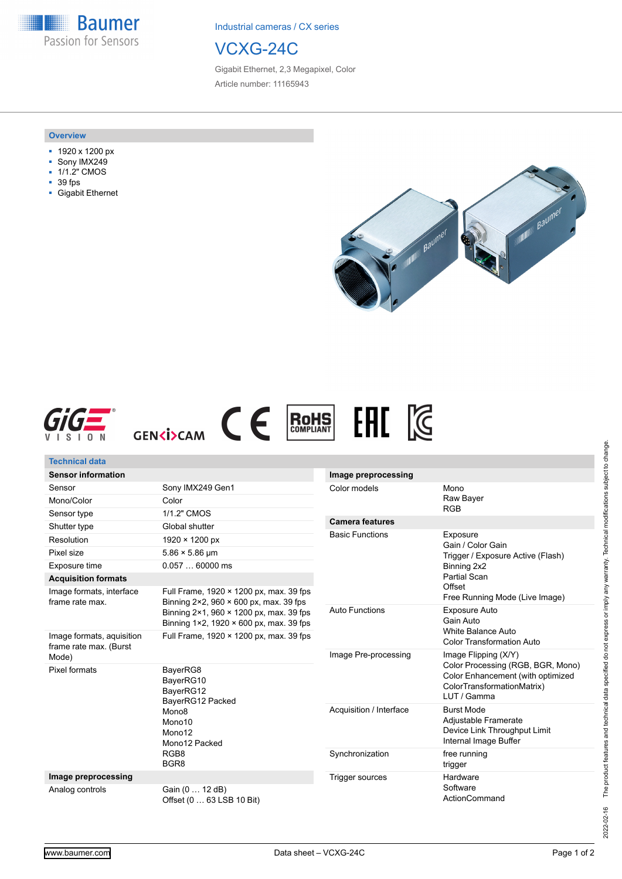**Baumer** Passion for Sensors

Industrial cameras / CX series



Gigabit Ethernet, 2,3 Megapixel, Color Article number: 11165943

## **Overview**

- 1920 x 1200 px
- Sony IMX249
- 1/1.2" CMOS
- 39 fps
- Gigabit Ethernet







| Technical data                                      |                                                                                                                                                                                          |                         |                                                                                                                                             |
|-----------------------------------------------------|------------------------------------------------------------------------------------------------------------------------------------------------------------------------------------------|-------------------------|---------------------------------------------------------------------------------------------------------------------------------------------|
| <b>Sensor information</b>                           |                                                                                                                                                                                          | Image preprocessing     |                                                                                                                                             |
| Sensor                                              | Sony IMX249 Gen1                                                                                                                                                                         | Color models            | Mono<br>Raw Bayer                                                                                                                           |
| Mono/Color                                          | Color                                                                                                                                                                                    |                         |                                                                                                                                             |
| Sensor type                                         | 1/1.2" CMOS                                                                                                                                                                              |                         | <b>RGB</b>                                                                                                                                  |
| Shutter type                                        | Global shutter                                                                                                                                                                           | <b>Camera features</b>  |                                                                                                                                             |
| Resolution                                          | $1920 \times 1200 \text{ px}$                                                                                                                                                            | <b>Basic Functions</b>  | Exposure<br>Gain / Color Gain<br>Trigger / Exposure Active (Flash)<br>Binning 2x2                                                           |
| Pixel size                                          | $5.86 \times 5.86$ µm                                                                                                                                                                    |                         |                                                                                                                                             |
| Exposure time                                       | $0.05760000$ ms                                                                                                                                                                          |                         |                                                                                                                                             |
| <b>Acquisition formats</b>                          |                                                                                                                                                                                          |                         | Partial Scan                                                                                                                                |
| Image formats, interface<br>frame rate max.         | Full Frame, 1920 × 1200 px, max. 39 fps<br>Binning $2 \times 2$ , 960 $\times$ 600 px, max. 39 fps<br>Binning 2×1, 960 × 1200 px, max. 39 fps<br>Binning 1×2, 1920 × 600 px, max. 39 fps |                         | Offset<br>Free Running Mode (Live Image)                                                                                                    |
|                                                     |                                                                                                                                                                                          | <b>Auto Functions</b>   | <b>Exposure Auto</b><br>Gain Auto<br>White Balance Auto<br><b>Color Transformation Auto</b>                                                 |
| Image formats, aquisition<br>frame rate max. (Burst | Full Frame, 1920 × 1200 px, max. 39 fps                                                                                                                                                  |                         |                                                                                                                                             |
| Mode)                                               |                                                                                                                                                                                          | Image Pre-processing    | Image Flipping (X/Y)<br>Color Processing (RGB, BGR, Mono)<br>Color Enhancement (with optimized<br>ColorTransformationMatrix)<br>LUT / Gamma |
| Pixel formats                                       | BayerRG8<br>BayerRG10<br>BayerRG12<br>BayerRG12 Packed<br>Mono <sub>8</sub><br>Mono10<br>Mono12<br>Mono12 Packed<br>RGB8<br>BGR <sub>8</sub>                                             |                         |                                                                                                                                             |
|                                                     |                                                                                                                                                                                          | Acquisition / Interface | <b>Burst Mode</b><br>Adjustable Framerate<br>Device Link Throughput Limit<br>Internal Image Buffer                                          |
|                                                     |                                                                                                                                                                                          | Synchronization         | free running<br>trigger                                                                                                                     |
| Image preprocessing                                 |                                                                                                                                                                                          | <b>Trigger sources</b>  | Hardware                                                                                                                                    |
| Analog controls                                     | Gain (0  12 dB)<br>Offset (0  63 LSB 10 Bit)                                                                                                                                             |                         | Software<br>ActionCommand                                                                                                                   |